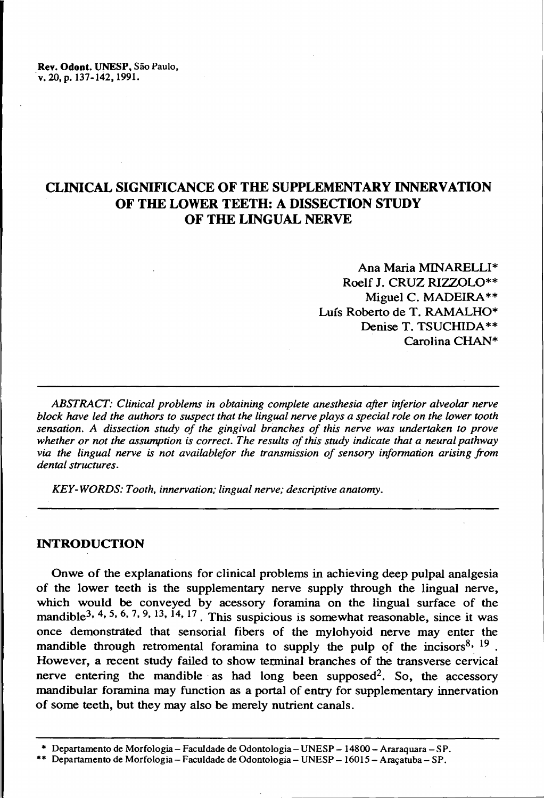Rev. Odont. UNESP, São Paulo, v. 20, p. 137-142, 1991.

# CLINICAL SIGNIFICANCE OF THE SUPPLEMENTARY INNERVATION OF THE LOWER TEETH: A DISSECTION STUDY OF THE LINGUAL NERVE

Ana Maria MINARELLI\* Roelf J. CRUZ RIZZOLO\*\* Miguel C. MADEIRA\*\* Luís Roberto de T. RAMALHO\* Denise T. T5UCHIDA\*\* Carolina CHAN\*

*ABSTRACT: Clinical problems in obtaining complete anesthesia after inferior alveolar nerve* block have led the authors to suspect that the lingual nerve plays a special role on the lower tooth *sensation.* A *dissection study of the gingival branches of this nerve was undertaken to prove whether or not the assumption is correct. The results of this study <i>indicate that a neural pathway via the lingual nerve is not availablefor the transmission of sensory infonnation arising from dental structures.*

*KEY- WORDS: Tooth, innervation; lingual nerve; descriptive anatomy.*

## INTRODUCTION

Onwe of the explanations for clinical problems in achieving deep pulpal analgesia of the lower teeth is the supplementary nerve supply through the lingual nerve, which would be conveyed by acessory foramina on the lingual surface of the mandible<sup>3, 4, 5, 6, 7, 9, 13, 14, 17</sup>. This suspicious is somewhat reasonable, since it was once demonstrated that sensorial fibers of the mylohyoid nerve may enter the mandible through retromental foramina to supply the pulp of the incisors<sup>8, 19</sup>. However, a recent study failed to show terminal branches of the transverse cervical nerve entering the mandible as had long been supposed<sup>2</sup>. So, the accessory mandibular foramina may function as a portal of entry for supplementary innervation of some teeth, but they may also be merely nutrient canais.

<sup>\*</sup> Departamento de Morfologia- Faculdade de Odontologia- UNESP - 14800- Araraquara -SP.

Departamento de Morfologia - Faculdade de Odontologia - UNESP - 16015 - Araçatuba - SP.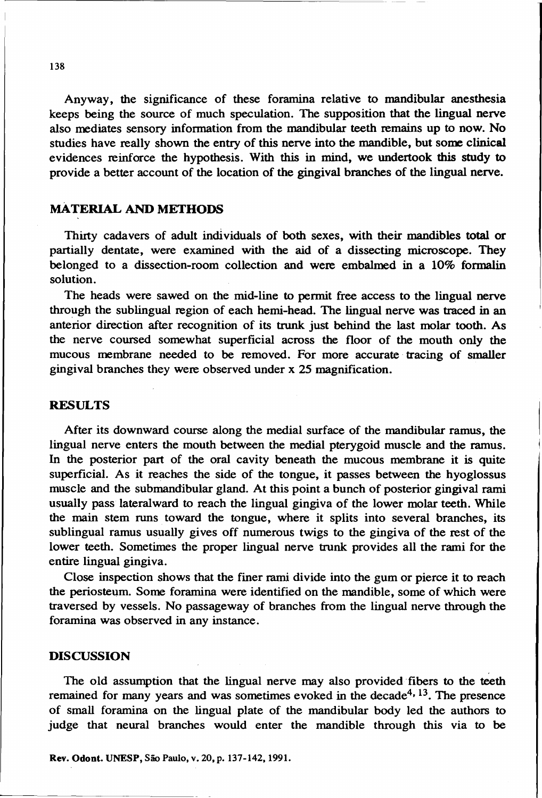Anyway, the significance of these foramina relative to mandibular anesthesia keeps being the source of much speculation. The supposition that the lingual nerve also mediates sensory information from the mandibular teeth remains up to now. No studies have really shown the entry of this nerve into the mandible, but some clinical evidences reinforce the hypothesis. With this in mind, we undertook this study to provide a better account of the location of the gingival branches of the lingual nerve.

## MATERIAL AND METHODS

Thirty cadavers of adult individuals of both sexes, with their mandibles total or partialIy dentate, were examined with the aid of a dissecting microscope. They belonged to a dissection-room collection and were embalmed in a 10% fonnalin solution.

The heads were sawed on the mid-line to pennit free access to the lingual nerve through the sublingual region of each hemi-head. The lingual nerve was traced in an anterior direction after recognition of its trunk just behind the last molar tooth. As the nerve coursed somewhat superficial across the floor of the mouth only the mucous membrane needed to be removed. For more accurate tracing of smaller gingival branches they were observed under x 25 magnification.

# RESULTS

After its downward course along the medial surface of the mandibular ramus, the lingual nerve enters the mouth between the medial pterygoid muscle and the ramus. ln the posterior part of the oral cavity beneath the mucous membrane it is quite superficial. As it reaches the side of the tongue, it passes between the hyoglossus muscle and the submandibular gland. At this point a bunch of posterior gingival rami usualIy pass lateralward to reach the lingual gingiva of the lower molar teeth. While the main stem runs toward the tongue, where it splits into several branches, its sublingual ramus usually gives off numerous twigs to the gingiva of the rest of the lower teeth. Sometimes the proper lingual nerve trunk provides alI the rami for the entire lingual gingiva.

Close inspection shows that the finer rami divide into the gum or pierce it to reach the periosteum. Some foramina were identified on the mandible, some of which were traversed by vessels. No passageway of branches from the lingual nerve through the foramina was observed in any instance.

## DISCUSSION

The old assumption that the lingual nerve may also provided fibers to the teeth remained for many years and was sometimes evoked in the decade<sup>4, 13</sup>. The presence of small foramina on the lingual plate of the mandibular body led the authors to judge that neural branches would enter the mandible through this via to be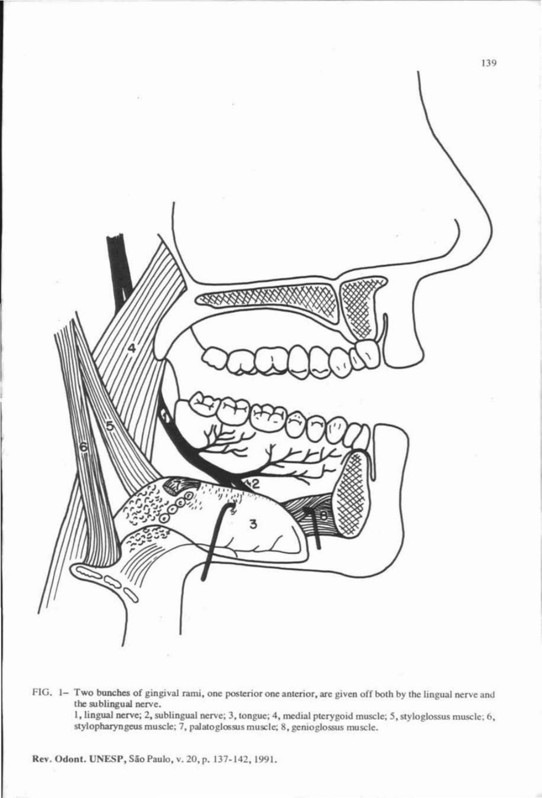

FIG. 1- Two bunches of gingival rami, one posterior one anterior, are given off both by the lingual nerve and the sublingual nerve.

1, lingual nerve; 2, sublingual nerve; 3, tongue; 4, medial pterygoid muscle; 5, styloglossus muscle; 6, stylopharyngeus muscle; 7, palatoglossus muscle; 8, genioglossus muscle.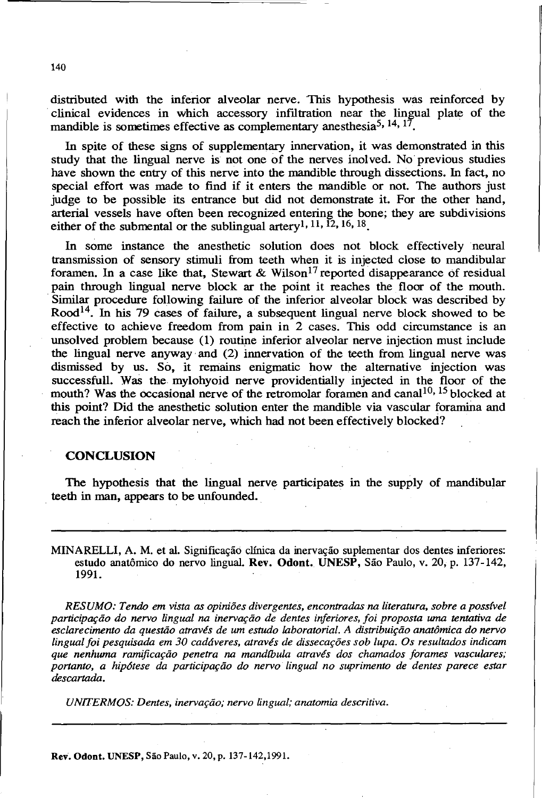distributed with the inferior alveolar nerve. This hypothesis was reinforced by clinical evidences in which accessory infiltration near the lingual plate of the mandible is sometimes effective as complementary anesthesia<sup>5, 14, 17</sup>.

In spite of these signs of supplementary innervation, it was demonstrated in this study that the lingual nerve is not one of the nerves inolved. No previous studies have shown the entry of this nerve into the mandible through dissections. ln fact, no special effort was made to find if it enters the mandible or not. The authors just judge to be possible its entrance but did not demonstrate it. For the other hand, arterial vessels have often been recognized entering the bone; they are subdivisions either of the submental or the sublingual artery<sup>1</sup>, <sup>11</sup>, <sup>12</sup>, <sup>16</sup>, <sup>18</sup>.

In some instance the anesthetic solution does not block effectively neural transmission of sensory stimuli from teeth when it is injected dose to mandibular foramen. In a case like that, Stewart & Wilson<sup>17</sup> reported disappearance of residual pain through lingual nerve block ar the point it reaches the floor of the mouth. Similar procedure following failure of the inferior alveolar block was described by Rood<sup>14</sup>. In his 79 cases of failure, a subsequent lingual nerve block showed to be effective to achieve freedom from pain in 2 cases. This odd circumstance is an unsolved problem because (1) routine inferior alveolar nerve injection must indude the lingual nerve anyway' and (2) innervation of the teeth from lingual nerve was dismissed by us. So, it remains enigmatic how the alternative injection was successfull. Was the mylohyoid nerve providentially injected in the floor of the mouth? Was the occasional nerve of the retromolar foramen and canal<sup>10, 15</sup> blocked at this point? Did the anesthetic solution enter the mandible via vascular foramina and reach the inferior alveolar nerve, which had not been effectively blocked?

## **CONCLUSION**

The hypothesis that the lingual nerve participates in the supply of mandibular teeth in man, appears to be unfounded.

MINARELLI, A. M. et al. Significação clínica da inervação suplementar dos dentes inferiores: estudo anatômico do nervo lingual. Rev. Odont. UNESP, São Paulo, v. 20, p. 137-142, 1991.

*RESUMO: Tendo em vista as opiniões divergentes, encontradas na literatura, sobre a poss(vel participação do nervo lingual na inervação de dentes inferiores, foi proposta uma tentativa de esclarecimento da questão através de um estudo laboratorial. A distribuição anatômica do nervO lingual foi pesquisada em 30 cadáveres, através de dissecações sob lupa. Os resultados indicam que nenhuma ramificação penetra na mandfbula através dos chamados forames vasculares; portanto, a hip6tese da participação do nervo' lingual no suprimento de dentes parece estar descartada.*

*UNITERMOS: Dentes, inervação; nervo lingual; anatomia descritiva.*

140

Rev. Odont. UNESP, São Paulo, v. 20, p. 137-142,1991.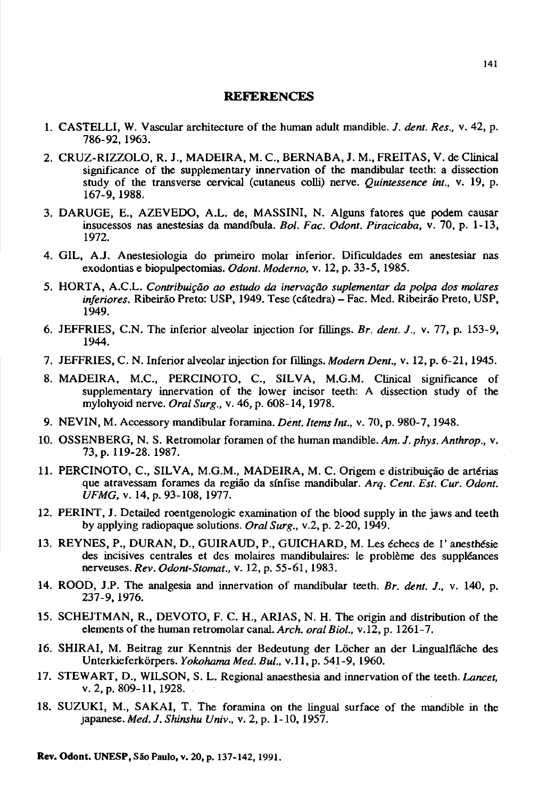## **REFERENCES**

- 1. CASTELLI, W. Vascular architecture of the human adult mandible. *J. dent. Res.*, v. 42, p. 786-92,1963.
- 2. CRUZ-RIZZOLO, R. J., MADEIRA, M. c., BERNABA, J. M., FREITAS, V. de Clinical significance of the supplementary innervation of the mandibular teeth: a dissection study of the transverse cervical (cutaneus colli) nerve. *Quintessence int.•* V. 19, p. 167-9,1988.
- 3. DARUGE, E., AZEVEDO, A.L. de, MASSINI, N. Alguns fatores que podem causar insucessos nas anestesias da mandíbula. *Boi. Fac. Odont. Piracicaba,* V. 70, p. 1-13, 1972.
- 4. GIL, A.J. Anestesiologia do primeiro molar inferior. Dificuldades em anestesiar nas exodontias e biopulpectomias. *Odont. Moderno,* V. 12, p. 33-5, 1985.
- 5. HORTA, A.C.L. *Contribuição ao estudo dn inervação suplementar dn polpa dos molares inferiores.* Ribeirão Preto: USP, 1949. Tese (cátedra) - Fac. Med. Ribeirão Preto, USP, 1949.
- 6. JEFFRIES, C.N. The inferior alveolar injection for fillings. *Br. dent. J.*, v. 77, p. 153-9, 1944.
- 7. JEFFRIES, C. N. Inferior alveolar injection for fillings. *Modem Dent.,* V. 12, p. 6-21,1945.
- 8. MADEIRA, M.C., PERCINOTO, C., SILVA, M.G.M. Clinical significance of supplementary innervation of the lower incisor teeth: A dissection study of the mylohyoid nerve. *Oral Surg.•* V. 46, p. 608-14, 1978.
- 9. NEVIN, M. Accessory mandibular foramina. *Dent. Items Int.*, v. 70, p. 980-7, 1948.
- 10. OSSENBERG, N. S. Retromolar foramen of the human mandible. *Am.* J. *phys. Anthrop.,* v. 73,p. 119-28. 1987.
- 11. PERCINOTO, c., SILVA, M.G.M., MADEIRA, M. C. Origem e distribuição de artérias que atravessam forames da região da sínfise mandibular. *Arq. Cent. Est. Cur. Odont. UFMG*, v. 14, p. 93-108, 1977.
- 12. PERINT, J. Detailed roentgenologic examination of the blood supply in the jaws and teeth by applying radiopaque solutions. *Oral Surg.,* v.2, p. 2-20, 1949.
- 13. REYNES, P., DURAN, D., GUIRAUD, P., GUICHARD, M. Les échecs de I' anesthésie des incisives centrales et des molaires mandibulaires: le problême des suppléances nerveuses. *Rev. Odont-Stomat.,* V. 12, p. 55-61, 1983.
- 14. ROOD, J.P. The analgesia and innervation of mandibular teeth. *Br. dent. J.*, v. 140, p. 237-9,1976.
- 15. SCHEJTMAN, R., DEVOTO, F. C. H., ARIAS, N. H. The origin and distribution of the elements of the human retromolar canal. *Arch. oral Biol.,* v.12, p. 1261-7.
- 16. SHIRAI, M. Beitrag zur Kenntnis der Bedeutung der Lõcher an der Lingualflãche des Unterkieferkõrpers. *Yokohama Med. Bul.,* v.lI, p. 541-9,1960.
- 17. STEWART, D., WILSON, S. L. Regional anaesthesia and innervation of the teeth. *Lancet.* v.2,p.809-11,1928.
- 18. SUZUKI, M., SAKAI, T. The foramina on the lingual surface of the mandible in the japanese. *Med.* J. *Shinshu Univ.,* V. 2, p. 1-10,1957.